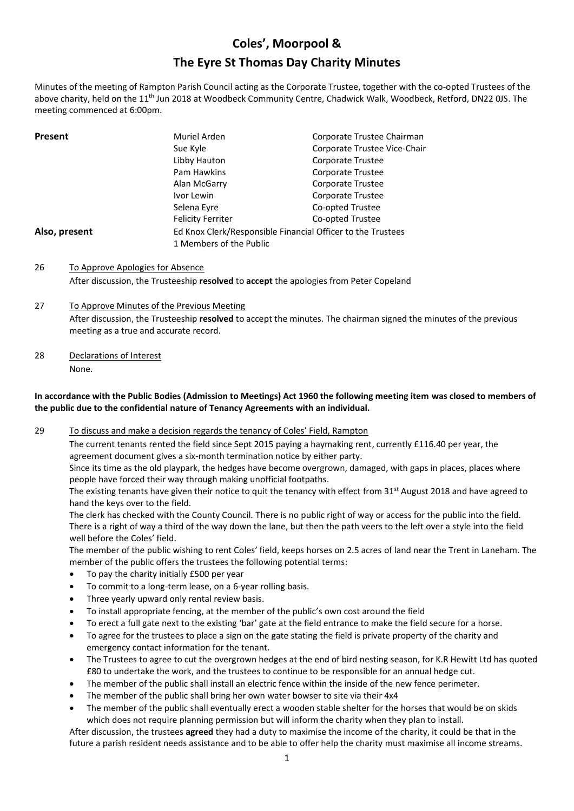# **Coles', Moorpool & The Eyre St Thomas Day Charity Minutes**

Minutes of the meeting of Rampton Parish Council acting as the Corporate Trustee, together with the co-opted Trustees of the above charity, held on the 11<sup>th</sup> Jun 2018 at Woodbeck Community Centre, Chadwick Walk, Woodbeck, Retford, DN22 0JS. The meeting commenced at 6:00pm.

| <b>Present</b> | Muriel Arden                                                | Corporate Trustee Chairman   |
|----------------|-------------------------------------------------------------|------------------------------|
|                | Sue Kyle                                                    | Corporate Trustee Vice-Chair |
|                | Libby Hauton                                                | Corporate Trustee            |
|                | Pam Hawkins                                                 | Corporate Trustee            |
|                | Alan McGarry                                                | Corporate Trustee            |
|                | Ivor Lewin                                                  | Corporate Trustee            |
|                | Selena Eyre                                                 | Co-opted Trustee             |
|                | <b>Felicity Ferriter</b>                                    | Co-opted Trustee             |
| Also, present  | Ed Knox Clerk/Responsible Financial Officer to the Trustees |                              |
|                | 1 Members of the Public                                     |                              |

- 26 To Approve Apologies for Absence After discussion, the Trusteeship **resolved** to **accept** the apologies from Peter Copeland
- 27 To Approve Minutes of the Previous Meeting After discussion, the Trusteeship **resolved** to accept the minutes. The chairman signed the minutes of the previous meeting as a true and accurate record.
- 28 Declarations of Interest None.

### **In accordance with the Public Bodies (Admission to Meetings) Act 1960 the following meeting item was closed to members of the public due to the confidential nature of Tenancy Agreements with an individual.**

29 To discuss and make a decision regards the tenancy of Coles' Field, Rampton

The current tenants rented the field since Sept 2015 paying a haymaking rent, currently £116.40 per year, the agreement document gives a six-month termination notice by either party.

Since its time as the old playpark, the hedges have become overgrown, damaged, with gaps in places, places where people have forced their way through making unofficial footpaths.

The existing tenants have given their notice to quit the tenancy with effect from  $31<sup>st</sup>$  August 2018 and have agreed to hand the keys over to the field.

The clerk has checked with the County Council. There is no public right of way or access for the public into the field. There is a right of way a third of the way down the lane, but then the path veers to the left over a style into the field well before the Coles' field.

The member of the public wishing to rent Coles' field, keeps horses on 2.5 acres of land near the Trent in Laneham. The member of the public offers the trustees the following potential terms:

- To pay the charity initially £500 per year
- To commit to a long-term lease, on a 6-year rolling basis.
- Three yearly upward only rental review basis.
- To install appropriate fencing, at the member of the public's own cost around the field
- To erect a full gate next to the existing 'bar' gate at the field entrance to make the field secure for a horse.
- To agree for the trustees to place a sign on the gate stating the field is private property of the charity and emergency contact information for the tenant.
- The Trustees to agree to cut the overgrown hedges at the end of bird nesting season, for K.R Hewitt Ltd has quoted £80 to undertake the work, and the trustees to continue to be responsible for an annual hedge cut.
- The member of the public shall install an electric fence within the inside of the new fence perimeter.
- The member of the public shall bring her own water bowser to site via their 4x4
- The member of the public shall eventually erect a wooden stable shelter for the horses that would be on skids which does not require planning permission but will inform the charity when they plan to install.

After discussion, the trustees **agreed** they had a duty to maximise the income of the charity, it could be that in the future a parish resident needs assistance and to be able to offer help the charity must maximise all income streams.